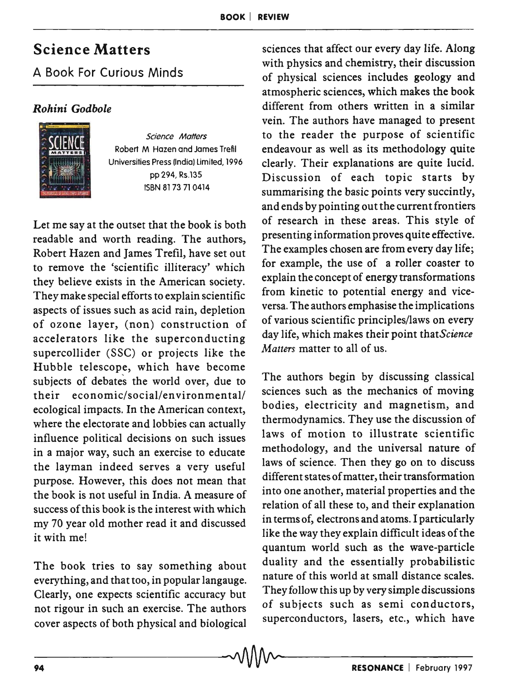## **Science Matters**

A Book For Curious Minds

## *Rohini Godbole*



Science Matters Robert M Hazen and James Trefil Universities Press (India) Limited, 1996 pp 294, Rs.135 ISBN 8173 71 0414

Let me say at the outset that the book is both readable and worth reading. The authors, Robert Hazen and James Trefil, have set out to remove the 'scientific illiteracy' which they believe exists in the American society. They make special efforts to explain scientific aspects of issues such as acid rain, depletion of ozone layer, (non) construction of accelerators like the superconducting supercollider (SSC) or projects like the Hubble telescope, which have become subjects of debates the world over, due to their economic/social/environmental/ ecological impacts. In the American context, where the electorate and lobbies can actually influence political decisions on such issues in a major way, such an exercise to educate the layman indeed serves a very useful purpose. However, this does not mean that the book is not useful in India. A measure of success of this book is the interest with which my 70 year old mother read it and discussed it with me!

The book tries to say something about everything, and that too, in popular langauge. Clearly, one expects scientific accuracy but not rigour in such an exercise. The authors cover aspects of both physical and biological

sciences that affect our every day life. Along with physics and chemistry, their discussion of physical sciences includes geology and atmospheric sciences, which makes the book different from others written in a similar vein. The authors have managed to present to the reader the purpose of scientific endeavour as well as its methodology quite clearly. Their explanations are quite lucid. Discussion of each topic starts by summarising the basic points very succintly, and ends by pointing out the current frontiers of research in these areas. This style of presenting information proves quite effective. The examples chosen are from every day life; for example, the use of a roller coaster to explain the concept of energy transformations from kinetic to potential energy and viceversa. The authors emphasise the implications of various scientific principles/laws on every day life, which makes their point that Science *Matters* matter to all of us.

The authors begin by discussing classical sciences such as the mechanics of moving bodies, electricity and magnetism, and thermodynamics. They use the discussion of laws of motion to illustrate scientific methodology, and the universal nature of laws of science. Then they go on to discuss different states of matter, their transformation into one another, material properties and the relation of all these to, and their explanation in terms of, electrons and atoms. I particularly like the way they explain difficult ideas of the quantum world such as the wave-particle duality and the essentially probabilistic nature of this world at small distance scales. They follow this up by very simple discussions of subjects such as semi conductors, superconductors, lasers, etc., which have